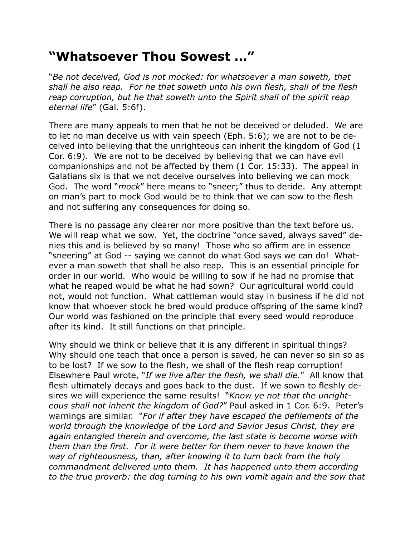## **"Whatsoever Thou Sowest …"**

"*Be not deceived, God is not mocked: for whatsoever a man soweth, that shall he also reap. For he that soweth unto his own flesh, shall of the flesh reap corruption, but he that soweth unto the Spirit shall of the spirit reap eternal life*" (Gal. 5:6f).

There are many appeals to men that he not be deceived or deluded. We are to let no man deceive us with vain speech (Eph. 5:6); we are not to be deceived into believing that the unrighteous can inherit the kingdom of God (1 Cor. 6:9). We are not to be deceived by believing that we can have evil companionships and not be affected by them (1 Cor. 15:33). The appeal in Galatians six is that we not deceive ourselves into believing we can mock God. The word "*mock*" here means to "sneer;" thus to deride. Any attempt on man's part to mock God would be to think that we can sow to the flesh and not suffering any consequences for doing so.

There is no passage any clearer nor more positive than the text before us. We will reap what we sow. Yet, the doctrine "once saved, always saved" denies this and is believed by so many! Those who so affirm are in essence "sneering" at God -- saying we cannot do what God says we can do! Whatever a man soweth that shall he also reap. This is an essential principle for order in our world. Who would be willing to sow if he had no promise that what he reaped would be what he had sown? Our agricultural world could not, would not function. What cattleman would stay in business if he did not know that whoever stock he bred would produce offspring of the same kind? Our world was fashioned on the principle that every seed would reproduce after its kind. It still functions on that principle.

Why should we think or believe that it is any different in spiritual things? Why should one teach that once a person is saved, he can never so sin so as to be lost? If we sow to the flesh, we shall of the flesh reap corruption! Elsewhere Paul wrote, "*If we live after the flesh, we shall die.*" All know that flesh ultimately decays and goes back to the dust. If we sown to fleshly desires we will experience the same results! "*Know ye not that the unrighteous shall not inherit the kingdom of God?*" Paul asked in 1 Cor. 6:9. Peter's warnings are similar. "*For if after they have escaped the defilements of the world through the knowledge of the Lord and Savior Jesus Christ, they are again entangled therein and overcome, the last state is become worse with them than the first. For it were better for them never to have known the way of righteousness, than, after knowing it to turn back from the holy commandment delivered unto them. It has happened unto them according to the true proverb: the dog turning to his own vomit again and the sow that*